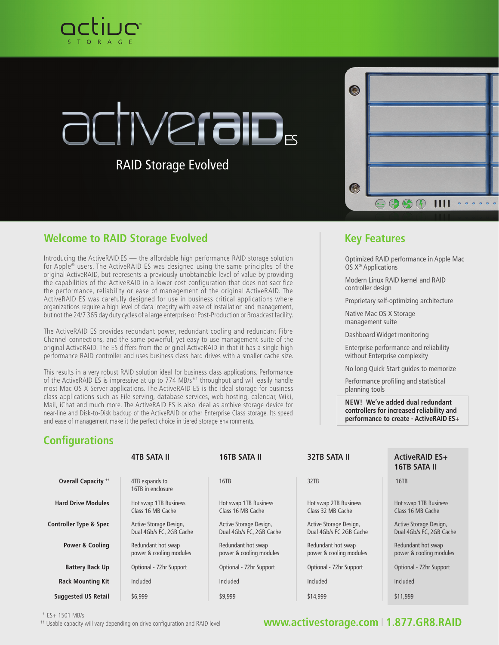

# Verab<sub>s</sub>

RAID Storage Evolved

| C     |                                                                         |   |
|-------|-------------------------------------------------------------------------|---|
|       |                                                                         |   |
|       |                                                                         |   |
| (د ۶) |                                                                         |   |
|       | <b>EBGT IIII</b><br>$\ddot{\bullet}$<br>$\ddot{\bullet}$<br>è<br>è<br>è | ĕ |

#### **Welcome to RAID Storage Evolved <b>Key Features Key Features**

Introducing the ActiveRAID ES — the affordable high performance RAID storage solution for Apple® users. The ActiveRAID ES was designed using the same principles of the original ActiveRAID, but represents a previously unobtainable level of value by providing the capabilities of the ActiveRAID in a lower cost configuration that does not sacrifice the performance, reliability or ease of management of the original ActiveRAID. The ActiveRAID ES was carefully designed for use in business critical applications where organizations require a high level of data integrity with ease of installation and management, but not the 24/7 365 day duty cycles of a large enterprise or Post-Production or Broadcast facility.

The ActiveRAID ES provides redundant power, redundant cooling and redundant Fibre Channel connections, and the same powerful, yet easy to use management suite of the original ActiveRAID. The ES differs from the original ActiveRAID in that it has a single high performance RAID controller and uses business class hard drives with a smaller cache size.

This results in a very robust RAID solution ideal for business class applications. Performance of the ActiveRAID ES is impressive at up to 774 MB/s\*† throughput and will easily handle most Mac OS X Server applications. The ActiveRAID ES is the ideal storage for business class applications such as File serving, database services, web hosting, calendar, Wiki, Mail, iChat and much more. The ActiveRAID ES is also ideal as archive storage device for near-line and Disk-to-Disk backup of the ActiveRAID or other Enterprise Class storage. Its speed and ease of management make it the perfect choice in tiered storage environments.

Optimized RAID performance in Apple Mac OS X® Applications

Modern Linux RAID kernel and RAID controller design

Proprietary self-optimizing architecture

Native Mac OS X Storage management suite

Dashboard Widget monitoring

Enterprise performance and reliability without Enterprise complexity

No long Quick Start guides to memorize

Performance profiling and statistical planning tools

**NEW! We've added dual redundant controllers for increased reliability and performance to create - ActiveRAID ES+**

### **Configurations**

|                                   | <b>4TB SATA II</b>                                 | <b>16TB SATA II</b>                                | <b>32TB SATA II</b>                               | <b>ActiveRAID ES+</b><br><b>16TB SATA II</b>       |
|-----------------------------------|----------------------------------------------------|----------------------------------------------------|---------------------------------------------------|----------------------------------------------------|
| <b>Overall Capacity **</b>        | 4TB expands to<br>16TB in enclosure                | 16TB                                               | 32TB                                              | 16TB                                               |
| <b>Hard Drive Modules</b>         | Hot swap 1TB Business<br>Class 16 MB Cache         | Hot swap 1TB Business<br>Class 16 MB Cache         | Hot swap 2TB Business<br>Class 32 MB Cache        | Hot swap 1TB Business<br>Class 16 MB Cache         |
| <b>Controller Type &amp; Spec</b> | Active Storage Design,<br>Dual 4Gb/s FC, 2GB Cache | Active Storage Design,<br>Dual 4Gb/s FC, 2GB Cache | Active Storage Design,<br>Dual 4Gb/s FC 2GB Cache | Active Storage Design,<br>Dual 4Gb/s FC, 2GB Cache |
| Power & Cooling                   | Redundant hot swap<br>power & cooling modules      | Redundant hot swap<br>power & cooling modules      | Redundant hot swap<br>power & cooling modules     | Redundant hot swap<br>power & cooling modules      |
| <b>Battery Back Up</b>            | Optional - 72hr Support                            | Optional - 72hr Support                            | Optional - 72hr Support                           | Optional - 72hr Support                            |
| <b>Rack Mounting Kit</b>          | Included                                           | Included                                           | Included                                          | Included                                           |
| <b>Suggested US Retail</b>        | \$6,999                                            | \$9,999                                            | \$14,999                                          | \$11,999                                           |

 $+$  ES+ 1501 MB/s

<sup>††</sup> Usable capacity will vary depending on drive configuration and RAID level

#### **www.activestorage.com** I **1.877.GR8.RAID**